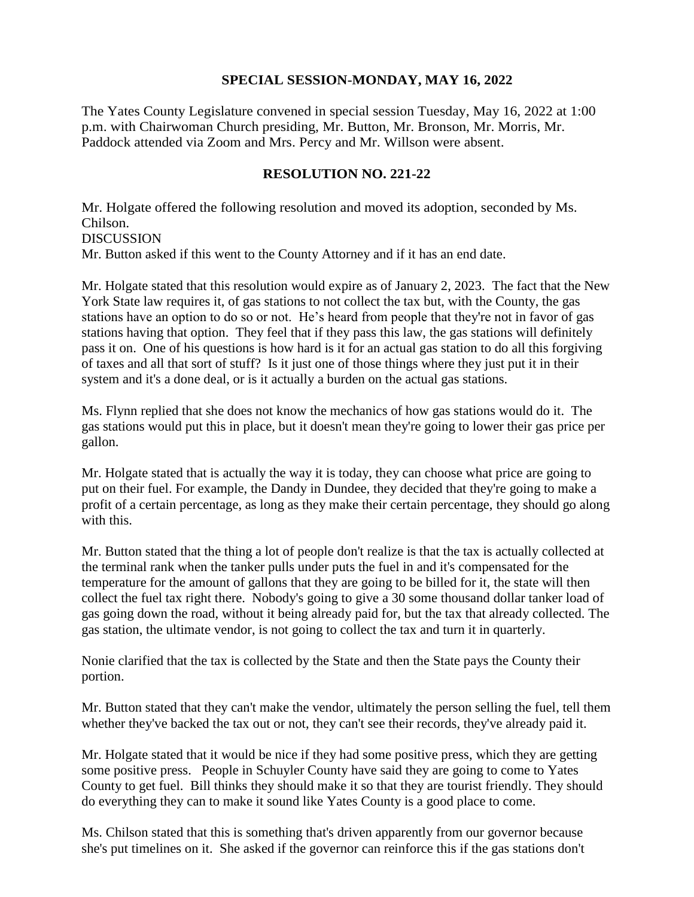## **SPECIAL SESSION-MONDAY, MAY 16, 2022**

The Yates County Legislature convened in special session Tuesday, May 16, 2022 at 1:00 p.m. with Chairwoman Church presiding, Mr. Button, Mr. Bronson, Mr. Morris, Mr. Paddock attended via Zoom and Mrs. Percy and Mr. Willson were absent.

## **RESOLUTION NO. 221-22**

Mr. Holgate offered the following resolution and moved its adoption, seconded by Ms. Chilson. DISCUSSION Mr. Button asked if this went to the County Attorney and if it has an end date.

Mr. Holgate stated that this resolution would expire as of January 2, 2023. The fact that the New York State law requires it, of gas stations to not collect the tax but, with the County, the gas stations have an option to do so or not. He's heard from people that they're not in favor of gas stations having that option. They feel that if they pass this law, the gas stations will definitely pass it on. One of his questions is how hard is it for an actual gas station to do all this forgiving of taxes and all that sort of stuff? Is it just one of those things where they just put it in their system and it's a done deal, or is it actually a burden on the actual gas stations.

Ms. Flynn replied that she does not know the mechanics of how gas stations would do it. The gas stations would put this in place, but it doesn't mean they're going to lower their gas price per gallon.

Mr. Holgate stated that is actually the way it is today, they can choose what price are going to put on their fuel. For example, the Dandy in Dundee, they decided that they're going to make a profit of a certain percentage, as long as they make their certain percentage, they should go along with this.

Mr. Button stated that the thing a lot of people don't realize is that the tax is actually collected at the terminal rank when the tanker pulls under puts the fuel in and it's compensated for the temperature for the amount of gallons that they are going to be billed for it, the state will then collect the fuel tax right there. Nobody's going to give a 30 some thousand dollar tanker load of gas going down the road, without it being already paid for, but the tax that already collected. The gas station, the ultimate vendor, is not going to collect the tax and turn it in quarterly.

Nonie clarified that the tax is collected by the State and then the State pays the County their portion.

Mr. Button stated that they can't make the vendor, ultimately the person selling the fuel, tell them whether they've backed the tax out or not, they can't see their records, they've already paid it.

Mr. Holgate stated that it would be nice if they had some positive press, which they are getting some positive press. People in Schuyler County have said they are going to come to Yates County to get fuel. Bill thinks they should make it so that they are tourist friendly. They should do everything they can to make it sound like Yates County is a good place to come.

Ms. Chilson stated that this is something that's driven apparently from our governor because she's put timelines on it. She asked if the governor can reinforce this if the gas stations don't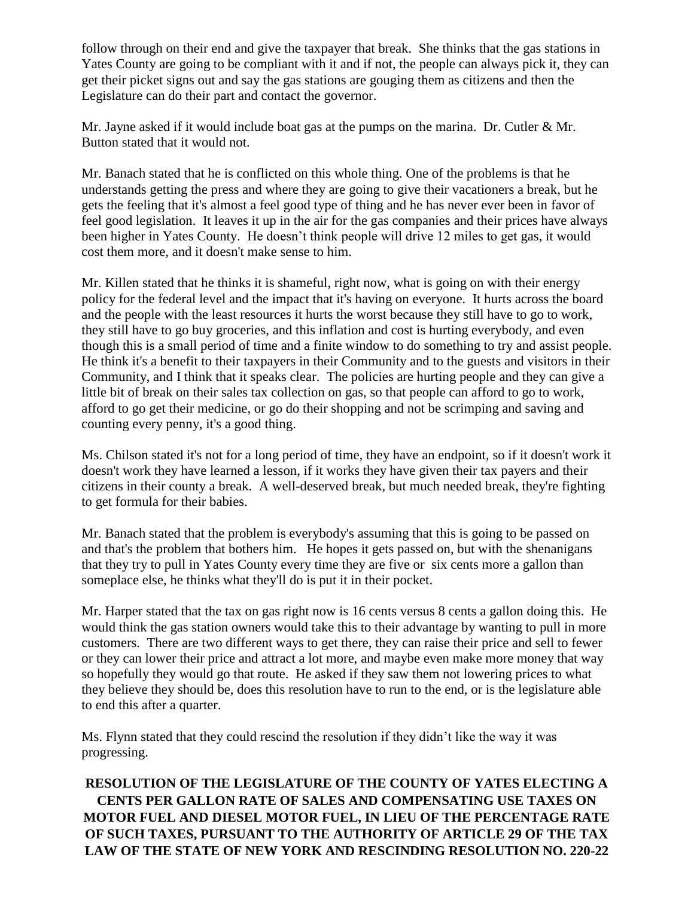follow through on their end and give the taxpayer that break. She thinks that the gas stations in Yates County are going to be compliant with it and if not, the people can always pick it, they can get their picket signs out and say the gas stations are gouging them as citizens and then the Legislature can do their part and contact the governor.

Mr. Jayne asked if it would include boat gas at the pumps on the marina. Dr. Cutler & Mr. Button stated that it would not.

Mr. Banach stated that he is conflicted on this whole thing. One of the problems is that he understands getting the press and where they are going to give their vacationers a break, but he gets the feeling that it's almost a feel good type of thing and he has never ever been in favor of feel good legislation. It leaves it up in the air for the gas companies and their prices have always been higher in Yates County. He doesn't think people will drive 12 miles to get gas, it would cost them more, and it doesn't make sense to him.

Mr. Killen stated that he thinks it is shameful, right now, what is going on with their energy policy for the federal level and the impact that it's having on everyone. It hurts across the board and the people with the least resources it hurts the worst because they still have to go to work, they still have to go buy groceries, and this inflation and cost is hurting everybody, and even though this is a small period of time and a finite window to do something to try and assist people. He think it's a benefit to their taxpayers in their Community and to the guests and visitors in their Community, and I think that it speaks clear. The policies are hurting people and they can give a little bit of break on their sales tax collection on gas, so that people can afford to go to work, afford to go get their medicine, or go do their shopping and not be scrimping and saving and counting every penny, it's a good thing.

Ms. Chilson stated it's not for a long period of time, they have an endpoint, so if it doesn't work it doesn't work they have learned a lesson, if it works they have given their tax payers and their citizens in their county a break. A well-deserved break, but much needed break, they're fighting to get formula for their babies.

Mr. Banach stated that the problem is everybody's assuming that this is going to be passed on and that's the problem that bothers him. He hopes it gets passed on, but with the shenanigans that they try to pull in Yates County every time they are five or six cents more a gallon than someplace else, he thinks what they'll do is put it in their pocket.

Mr. Harper stated that the tax on gas right now is 16 cents versus 8 cents a gallon doing this. He would think the gas station owners would take this to their advantage by wanting to pull in more customers. There are two different ways to get there, they can raise their price and sell to fewer or they can lower their price and attract a lot more, and maybe even make more money that way so hopefully they would go that route. He asked if they saw them not lowering prices to what they believe they should be, does this resolution have to run to the end, or is the legislature able to end this after a quarter.

Ms. Flynn stated that they could rescind the resolution if they didn't like the way it was progressing.

**RESOLUTION OF THE LEGISLATURE OF THE COUNTY OF YATES ELECTING A CENTS PER GALLON RATE OF SALES AND COMPENSATING USE TAXES ON MOTOR FUEL AND DIESEL MOTOR FUEL, IN LIEU OF THE PERCENTAGE RATE OF SUCH TAXES, PURSUANT TO THE AUTHORITY OF ARTICLE 29 OF THE TAX LAW OF THE STATE OF NEW YORK AND RESCINDING RESOLUTION NO. 220-22**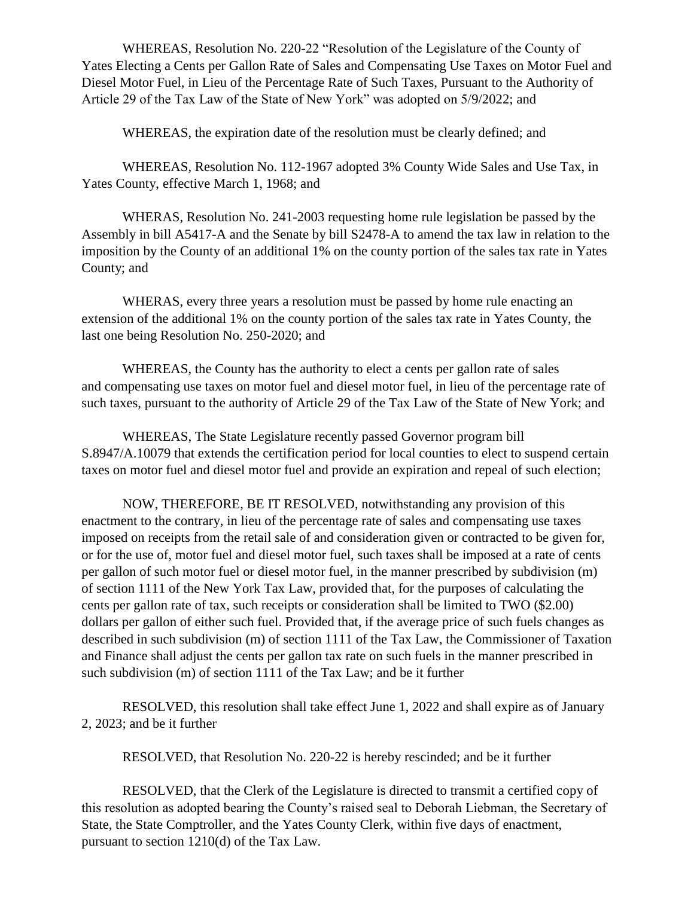WHEREAS, Resolution No. 220-22 "Resolution of the Legislature of the County of Yates Electing a Cents per Gallon Rate of Sales and Compensating Use Taxes on Motor Fuel and Diesel Motor Fuel, in Lieu of the Percentage Rate of Such Taxes, Pursuant to the Authority of Article 29 of the Tax Law of the State of New York" was adopted on 5/9/2022; and

WHEREAS, the expiration date of the resolution must be clearly defined; and

WHEREAS, Resolution No. 112-1967 adopted 3% County Wide Sales and Use Tax, in Yates County, effective March 1, 1968; and

WHERAS, Resolution No. 241-2003 requesting home rule legislation be passed by the Assembly in bill A5417-A and the Senate by bill S2478-A to amend the tax law in relation to the imposition by the County of an additional 1% on the county portion of the sales tax rate in Yates County; and

WHERAS, every three years a resolution must be passed by home rule enacting an extension of the additional 1% on the county portion of the sales tax rate in Yates County, the last one being Resolution No. 250-2020; and

WHEREAS, the County has the authority to elect a cents per gallon rate of sales and compensating use taxes on motor fuel and diesel motor fuel, in lieu of the percentage rate of such taxes, pursuant to the authority of Article 29 of the Tax Law of the State of New York; and

WHEREAS, The State Legislature recently passed Governor program bill S.8947/A.10079 that extends the certification period for local counties to elect to suspend certain taxes on motor fuel and diesel motor fuel and provide an expiration and repeal of such election;

NOW, THEREFORE, BE IT RESOLVED, notwithstanding any provision of this enactment to the contrary, in lieu of the percentage rate of sales and compensating use taxes imposed on receipts from the retail sale of and consideration given or contracted to be given for, or for the use of, motor fuel and diesel motor fuel, such taxes shall be imposed at a rate of cents per gallon of such motor fuel or diesel motor fuel, in the manner prescribed by subdivision (m) of section 1111 of the New York Tax Law, provided that, for the purposes of calculating the cents per gallon rate of tax, such receipts or consideration shall be limited to TWO (\$2.00) dollars per gallon of either such fuel. Provided that, if the average price of such fuels changes as described in such subdivision (m) of section 1111 of the Tax Law, the Commissioner of Taxation and Finance shall adjust the cents per gallon tax rate on such fuels in the manner prescribed in such subdivision (m) of section 1111 of the Tax Law; and be it further

RESOLVED, this resolution shall take effect June 1, 2022 and shall expire as of January 2, 2023; and be it further

RESOLVED, that Resolution No. 220-22 is hereby rescinded; and be it further

RESOLVED, that the Clerk of the Legislature is directed to transmit a certified copy of this resolution as adopted bearing the County's raised seal to Deborah Liebman, the Secretary of State, the State Comptroller, and the Yates County Clerk, within five days of enactment, pursuant to section 1210(d) of the Tax Law.